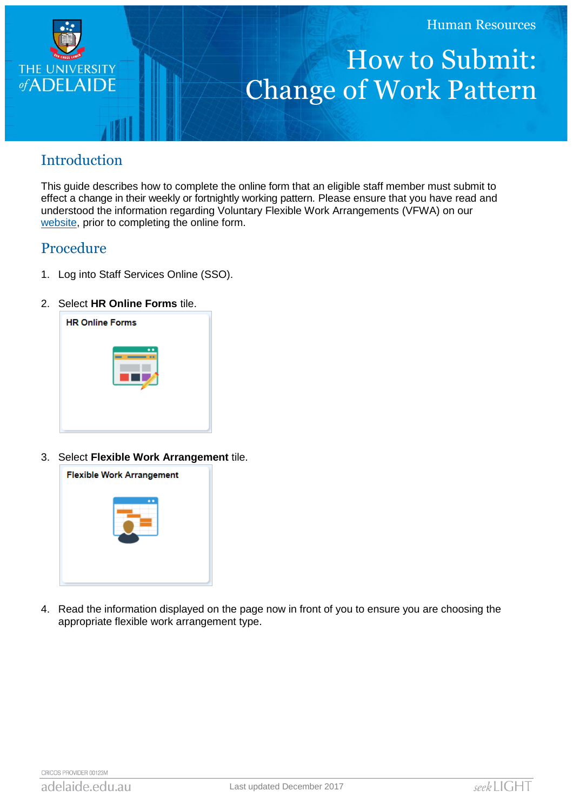

# How to Submit: Change of Work Pattern

# Introduction

This guide describes how to complete the online form that an eligible staff member must submit to effect a change in their weekly or fortnightly working pattern. Please ensure that you have read and understood the information regarding Voluntary Flexible Work Arrangements (VFWA) on our [website,](http://www.adelaide.edu.au/hr/systems/sso/vfwa) prior to completing the online form.

### Procedure

- 1. Log into Staff Services Online (SSO).
- 2. Select **HR Online Forms** tile.



3. Select **Flexible Work Arrangement** tile.



4. Read the information displayed on the page now in front of you to ensure you are choosing the appropriate flexible work arrangement type.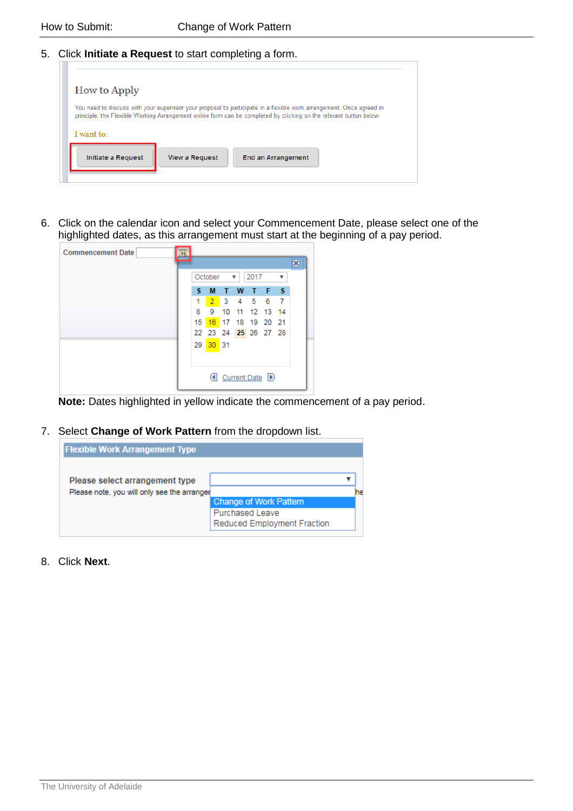5. Click **Initiate a Request** to start completing a form.

| You need to discuss with your supervisor your proposal to participate in a flexible work arrangement. Once agreed in<br>principle, the Flexible Working Arrangement online form can be completed by clicking on the relevant button below.<br>I want to: | <b>How to Apply</b>       |                       |                           |  |
|----------------------------------------------------------------------------------------------------------------------------------------------------------------------------------------------------------------------------------------------------------|---------------------------|-----------------------|---------------------------|--|
|                                                                                                                                                                                                                                                          |                           |                       |                           |  |
|                                                                                                                                                                                                                                                          | <b>Initiate a Request</b> | <b>View a Request</b> | <b>End an Arrangement</b> |  |

6. Click on the calendar icon and select your Commencement Date, please select one of the highlighted dates, as this arrangement must start at the beginning of a pay period.

| <b>Commencement Date</b> | B1. |                                                 |                |    |    |              |                                      |                         |
|--------------------------|-----|-------------------------------------------------|----------------|----|----|--------------|--------------------------------------|-------------------------|
|                          |     |                                                 |                |    |    |              |                                      | $\overline{\mathbf{x}}$ |
|                          |     | October<br>2017<br>$\overline{\mathbf{v}}$<br>▼ |                |    |    |              |                                      |                         |
|                          |     | s.                                              | M              | т  | W  | $\mathbf{T}$ | F <sub>S</sub>                       |                         |
|                          |     | 1                                               | 2 <sup>1</sup> |    |    |              | 3 4 5 6 7                            |                         |
|                          |     | 8                                               | 9              | 10 | 11 |              | 12 13 14                             |                         |
|                          |     | 15 <sup>1</sup>                                 |                |    |    |              | 16 17 18 19 20 21                    |                         |
|                          |     |                                                 |                |    |    |              | 22 23 24 25 26 27 28                 |                         |
|                          |     |                                                 | 29 30 31       |    |    |              |                                      |                         |
|                          |     |                                                 |                |    |    |              |                                      |                         |
|                          |     |                                                 |                |    |    |              |                                      |                         |
|                          |     |                                                 |                |    |    |              | <b><i></i></b> Current Date <b>D</b> |                         |
|                          |     |                                                 |                |    |    |              |                                      |                         |

**Note:** Dates highlighted in yellow indicate the commencement of a pay period.

7. Select **Change of Work Pattern** from the dropdown list.

| <b>Flexible Work Arrangement Type</b>       |                               |  |
|---------------------------------------------|-------------------------------|--|
|                                             |                               |  |
| Please select arrangement type              |                               |  |
| Please note, you will only see the arranger |                               |  |
|                                             | <b>Change of Work Pattern</b> |  |
|                                             | <b>Purchased Leave</b>        |  |
|                                             | Reduced Employment Fraction   |  |
|                                             |                               |  |

8. Click **Next**.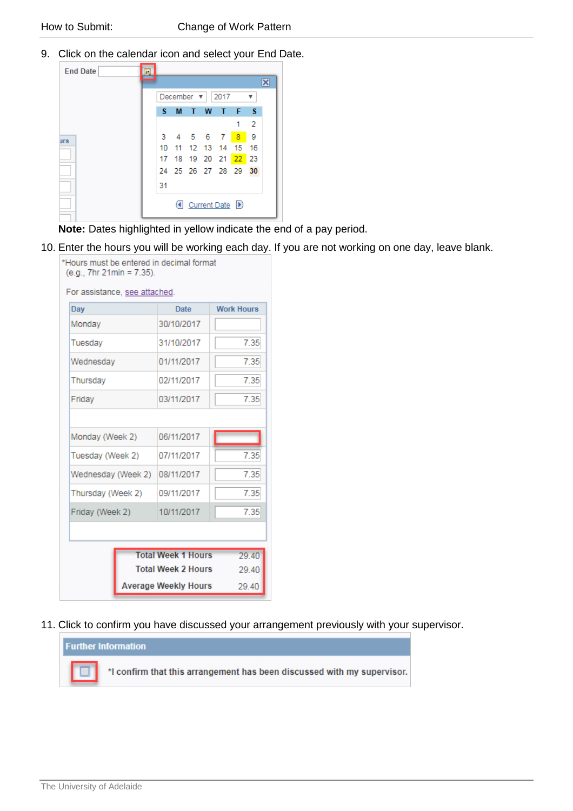9. Click on the calendar icon and select your End Date.

| <b>End Date</b> | E |    |   |                       |           |                                      |                   |     |  |
|-----------------|---|----|---|-----------------------|-----------|--------------------------------------|-------------------|-----|--|
|                 |   |    |   |                       |           |                                      |                   |     |  |
|                 |   |    |   | December $\mathbf{v}$ |           | 2017                                 |                   |     |  |
|                 |   | s  | M | T W                   |           | ா                                    | - F               | - S |  |
|                 |   |    |   |                       |           |                                      |                   | 2   |  |
| <b>urs</b>      |   |    |   |                       | 3 4 5 6 7 |                                      | $-8$              | - 9 |  |
|                 |   |    |   |                       |           |                                      | 10 11 12 13 14 15 | 16  |  |
|                 |   | 17 |   |                       |           | 18 19 20 21 22                       |                   | 23  |  |
|                 |   |    |   |                       |           | 24 25 26 27 28 29                    |                   | 30  |  |
|                 |   | 31 |   |                       |           |                                      |                   |     |  |
|                 |   |    |   |                       |           | <b><i></i></b> Current Date <b>D</b> |                   |     |  |

**Note:** Dates highlighted in yellow indicate the end of a pay period.

10. Enter the hours you will be working each day. If you are not working on one day, leave blank.

| Hours must be entered in decimal format<br>(e.g., 7hr 21min = 7.35).<br>For assistance, see attached. |                                      |      |  |  |  |  |  |
|-------------------------------------------------------------------------------------------------------|--------------------------------------|------|--|--|--|--|--|
| Day                                                                                                   | <b>Work Hours</b><br><b>Date</b>     |      |  |  |  |  |  |
| Monday                                                                                                | 30/10/2017                           |      |  |  |  |  |  |
| Tuesday                                                                                               | 31/10/2017                           | 7.35 |  |  |  |  |  |
| Wednesday                                                                                             | 01/11/2017                           | 7.35 |  |  |  |  |  |
| Thursday                                                                                              | 02/11/2017                           | 7.35 |  |  |  |  |  |
| Friday                                                                                                | 03/11/2017                           | 7.35 |  |  |  |  |  |
|                                                                                                       |                                      |      |  |  |  |  |  |
| Monday (Week 2)                                                                                       | 06/11/2017                           |      |  |  |  |  |  |
| Tuesday (Week 2)                                                                                      | 07/11/2017                           | 7.35 |  |  |  |  |  |
| Wednesday (Week 2)                                                                                    | 08/11/2017                           | 7.35 |  |  |  |  |  |
| Thursday (Week 2)                                                                                     | 09/11/2017                           | 7.35 |  |  |  |  |  |
| Friday (Week 2)                                                                                       | 10/11/2017                           | 7.35 |  |  |  |  |  |
|                                                                                                       |                                      |      |  |  |  |  |  |
|                                                                                                       | <b>Total Week 1 Hours</b><br>29.40   |      |  |  |  |  |  |
|                                                                                                       | <b>Total Week 2 Hours</b>            |      |  |  |  |  |  |
|                                                                                                       | <b>Average Weekly Hours</b><br>29.40 |      |  |  |  |  |  |

11. Click to confirm you have discussed your arrangement previously with your supervisor.